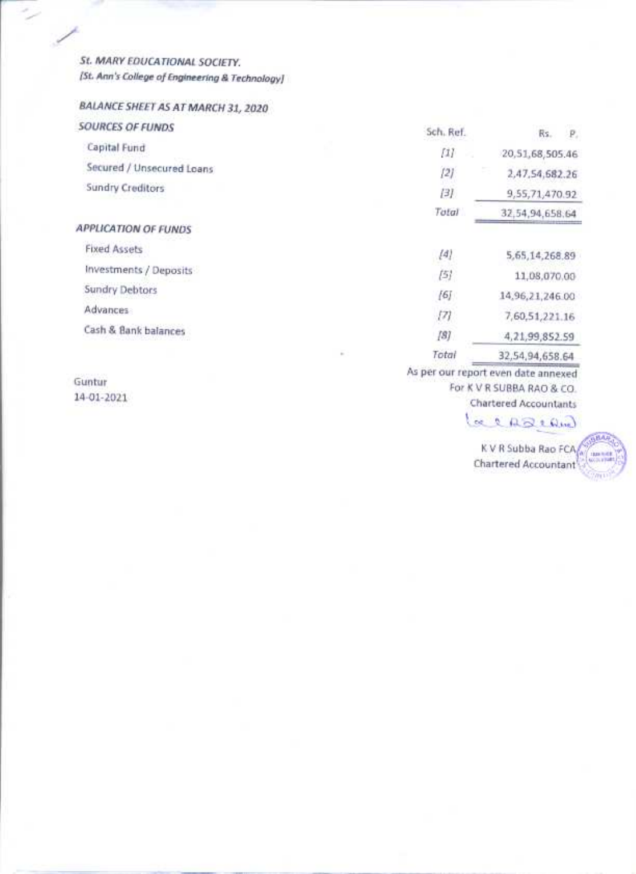St. MARY EDUCATIONAL SOCIETY. [St. Ann's College of Engineering & Technology]

### BALANCE SHEET AS AT MARCH 31, 2020

| SOURCES OF FUNDS            |        | Sch. Ref.                                                                                                                                                                                                                                                                                                                                                                                                                                                                                                                                                                                      | Rs.<br>P                           |
|-----------------------------|--------|------------------------------------------------------------------------------------------------------------------------------------------------------------------------------------------------------------------------------------------------------------------------------------------------------------------------------------------------------------------------------------------------------------------------------------------------------------------------------------------------------------------------------------------------------------------------------------------------|------------------------------------|
| Capital Fund                |        | Ш                                                                                                                                                                                                                                                                                                                                                                                                                                                                                                                                                                                              | 20,51,68,505.46                    |
| Secured / Unsecured Loans   |        | [2]                                                                                                                                                                                                                                                                                                                                                                                                                                                                                                                                                                                            | 2,47,54,682.26                     |
| Sundry Creditors            |        | [3]                                                                                                                                                                                                                                                                                                                                                                                                                                                                                                                                                                                            | 9,55,71,470.92                     |
|                             |        | Total                                                                                                                                                                                                                                                                                                                                                                                                                                                                                                                                                                                          | 32,54,94,658.64                    |
| <b>APPLICATION OF FUNDS</b> |        |                                                                                                                                                                                                                                                                                                                                                                                                                                                                                                                                                                                                |                                    |
| <b>Fixed Assets</b>         |        | $[4] \centering% \includegraphics[width=1\textwidth]{figs/fig_4a1.pdf} \includegraphics[width=1\textwidth]{figs/fig_4b1.pdf} \includegraphics[width=1\textwidth]{figs/fig_4b1.pdf} \includegraphics[width=1\textwidth]{figs/fig_4b1.pdf} \includegraphics[width=1\textwidth]{figs/fig_4b1.pdf} \includegraphics[width=1\textwidth]{figs/fig_4b1.pdf} \includegraphics[width=1\textwidth]{figs/fig_4b1.pdf} \includegraphics[width=1\textwidth]{figs/fig_4b1.pdf} \includegraphics[width=1\textwidth]{figs/fig_4b1.pdf} \includegraphics[width=1\textwidth]{figs/fig_4b1.pdf} \includegraphics$ | 5,65,14,268.89                     |
| Investments / Deposits      |        | [5]                                                                                                                                                                                                                                                                                                                                                                                                                                                                                                                                                                                            | 11,08,070.00                       |
| Sundry Debtors              |        | [6]                                                                                                                                                                                                                                                                                                                                                                                                                                                                                                                                                                                            | 14,96,21,246.00                    |
| Advances                    |        | [7]                                                                                                                                                                                                                                                                                                                                                                                                                                                                                                                                                                                            | 7,60,51,221.16                     |
| Cash & Bank balances        |        | $[8] % \includegraphics[width=\textwidth]{images/TransY.pdf} \caption{The first two different values of $S$ in the image.} \label{fig:class}$                                                                                                                                                                                                                                                                                                                                                                                                                                                  | 4,21,99,852.59                     |
|                             | $\sim$ | Total                                                                                                                                                                                                                                                                                                                                                                                                                                                                                                                                                                                          | 32,54,94,658.64                    |
|                             |        |                                                                                                                                                                                                                                                                                                                                                                                                                                                                                                                                                                                                | As not our report and data annound |

Guntur 14-01-2021 As per our report even date annexed For K V R SUBBA RAO & CO.

**Chartered Accountants** 

# Lacascand

K V R Subba Rao FCA **Chartered Accountant** 

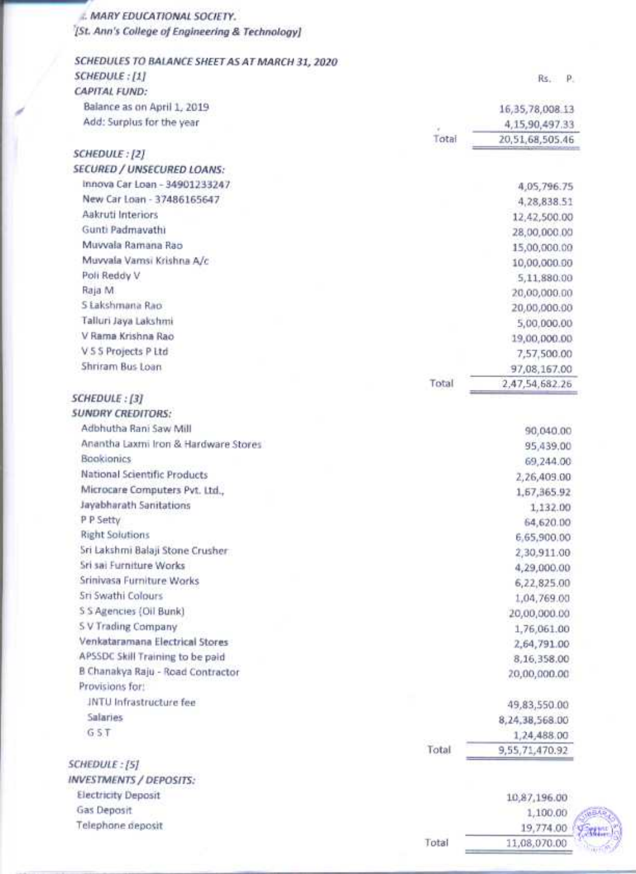**E. MARY EDUCATIONAL SOCIETY.** [St. Ann's College of Engineering & Technology]

| SCHEDULES TO BALANCE SHEET AS AT MARCH 31, 2020 |       |                    |
|-------------------------------------------------|-------|--------------------|
| SCHEDULE: [1]                                   |       | $Rs.$ $P.$         |
| <b>CAPITAL FUND:</b>                            |       |                    |
| Balance as on April 1, 2019                     |       | 16, 35, 78, 008.13 |
| Add: Surplus for the year                       |       | 4,15,90,497.33     |
|                                                 | Total | 20,51,68,505.46    |
| SCHEDULE: [2]                                   |       |                    |
| <b>SECURED / UNSECURED LOANS:</b>               |       |                    |
| Innova Car Loan - 34901233247                   |       | 4,05,796.75        |
| New Car Loan - 37486165647                      |       | 4,28,838.51        |
| Aakruti Interiors                               |       | 12,42,500.00       |
| Gunti Padmavathi                                |       | 28,00,000.00       |
| Muvyala Ramana Rao                              |       | 15,00,000.00       |
| Muvvala Vamsi Krishna A/c                       |       | 10,00,000.00       |
| Poli Reddy V                                    |       | 5,11,880.00        |
| Raja M                                          |       | 20,00,000.00       |
| S Lakshmana Rao                                 |       | 20,00,000.00       |
| Talluri Jaya Lakshmi                            |       | 5,00,000.00        |
| V Rama Krishna Rao                              |       | 19,00,000.00       |
| V.5 5 Projects P Ltd                            |       | 7,57,500.00        |
| Shriram Bus Loan                                |       | 97,08,167.00       |
|                                                 | Total | 2,47,54,682.26     |
| SCHEDULE: [3]                                   |       |                    |
| <b>SUNDRY CREDITORS:</b>                        |       |                    |
| Adbhutha Rani Saw Mill                          |       | 90,040.00          |
| Anantha Laxmi Iron & Hardware Stores            |       | 95,439.00          |
| <b>Bookionics</b>                               |       | 69,244.00          |
| National Scientific Products                    |       | 2,26,409.00        |
| Microcare Computers Pvt. Ltd.,                  |       | 1, 67, 365. 92     |
| Jayabharath Sanitations                         |       | 1,132.00           |
| P P Setty                                       |       | 64,620.00          |
| <b>Right Solutions</b>                          |       | 6,65,900.00        |
| Sri Lakshmi Balaji Stone Crusher                |       | 2,30,911.00        |
| Sri sai Furniture Works                         |       | 4,29,000.00        |
| Srinivasa Furniture Works                       |       | 6,22,825.00        |
| Sri Swathi Colours                              |       | 1,04,769.00        |
| S S Agencies (Oil Bunk)                         |       | 20,00,000.00       |
| S V Trading Company                             |       |                    |
| Venkataramana Electrical Stores                 |       | 1,76,061.00        |
| APSSDC Skill Training to be paid                |       | 2,64,791.00        |
| B Chanakya Raju - Road Contractor               |       | 8,16,358.00        |
| Provisions for:                                 |       | 20,00,000.00       |
| <b>JNTU</b> Infrastructure fee                  |       |                    |
| Salaries                                        |       | 49,83,550.00       |
| G <sub>5</sub> T                                |       | 8,24,38,568.00     |
|                                                 |       | 1,24,488.00        |
|                                                 | Total | 9,55,71,470.92     |
| <b>SCHEDULE: [5]</b>                            |       |                    |
| <b>INVESTMENTS / DEPOSITS:</b>                  |       |                    |
| <b>Electricity Deposit</b>                      |       | 10,87,196.00       |
| Gas Deposit                                     |       | 1,100.00           |
| Telephone deposit                               |       | 19,774.00          |

Total

11,08,070.00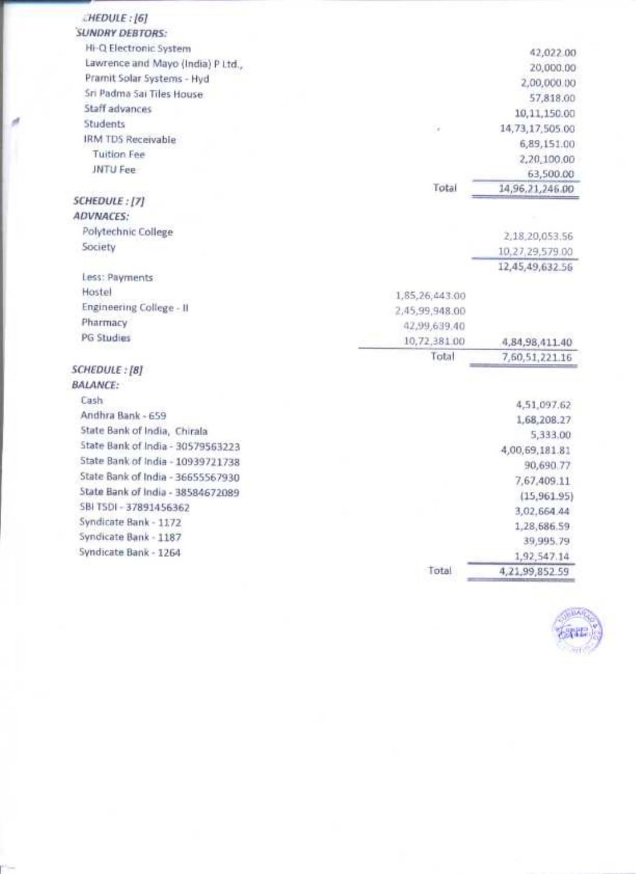| <b>CHEDULE: [6]</b>               |                |                    |
|-----------------------------------|----------------|--------------------|
| <b>SUNDRY DEBTORS:</b>            |                |                    |
| Hi-Q Electronic System            |                | 42,022.00          |
| Lawrence and Mayo (India) P Ltd., |                | 20,000.00          |
| Pramit Solar Systems - Hyd        |                | 2,00,000.00        |
| Sri Padma Sai Tiles House         |                | 57,818.00          |
| Staff advances                    |                | 10,11,150.00       |
| Students                          | V.             | 14,73,17,505.00    |
| <b>IRM TDS Receivable</b>         |                | 6,89,151.00        |
| <b>Tuition Fee</b>                |                | 2,20,100.00        |
| JNTU Fee                          |                | 63,500.00          |
|                                   | Total          | 14,96,21,246.00    |
| SCHEDULE: [7]                     |                |                    |
| <b>ADVNACES:</b>                  |                |                    |
| Polytechnic College               |                | 2,18,20,053.56     |
| Society                           |                | 10,27,29,579.00    |
|                                   |                | 12,45,49,632.56    |
| Less: Payments                    |                |                    |
| Hostel                            | 1,85,26,443.00 |                    |
| Engineering College - II          | 2,45,99,948.00 |                    |
| Pharmacy                          | 42,99,639.40   |                    |
| <b>PG Studies</b>                 | 10,72,381.00   | 4,84,98,411.40     |
|                                   | Total          | 7, 60, 51, 221. 16 |
| SCHEDULE:[8]                      |                |                    |
| <b>BALANCE:</b>                   |                |                    |
| Cash                              |                | 4,51,097.62        |
| Andhra Bank - 659                 |                | 1,68,208.27        |
| State Bank of India, Chirala      |                | 5,333.00           |
| State Bank of India - 30579563223 |                | 4,00,69,181.81     |
| State Bank of India - 10939721738 |                | 90,690.77          |
| State Bank of India - 36655567930 |                | 7,67,409.11        |
| State Bank of India - 38584672089 |                | (15,961.95)        |
| SBI TSDI - 37891456362            |                | 3,02,664.44        |
| Syndicate Bank - 1172             |                | 1,28,686.59        |
| Syndicate Bank - 1187             |                | 39,995.79          |
| Syndicate Bank - 1264             |                | 1,92,547.14        |
|                                   | Total          | 4,21,99,852.59     |

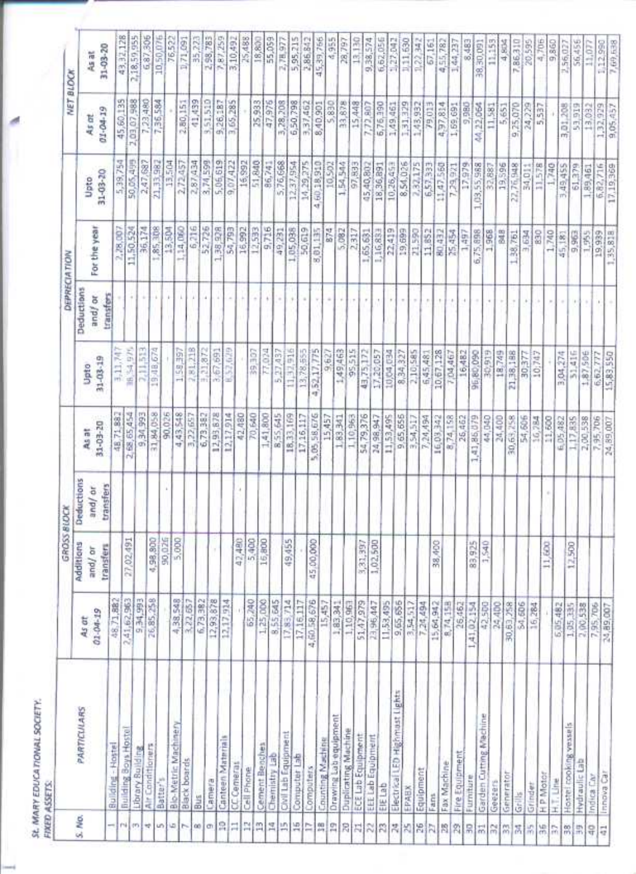| ۱       |
|---------|
| I)<br>n |
| í       |

| 43.32.128<br>2,18,59,955<br>6,87,306<br>10,50,076<br>7,87,259<br>2,58,783<br>3,10,492<br>76,522<br>35,223<br>25,488<br>55,059<br>5,95,215<br>45,39,756<br>4,955<br>6,62,056<br>1,71,091<br>18,800<br>13,130<br>1,27,042<br>9,38,574<br>2,78,977<br>28,797<br>122.342<br>20,595<br>4,706<br>67,161<br>$\frac{11.153}{4,804}$<br>2,56,027<br>56,456<br>8,483<br>7,86,310<br>9,860<br>1,44,237<br>I <sub>1</sub> 12,990<br>7 (ii) 538<br>4,55,782<br>38,30,091<br>11,077<br>31-03-20<br>As at<br>2,03,07,988<br>45,60,135<br>7,36,584<br>41,439<br>3,51,510<br>2,80,151<br>3,65,285<br>25,933<br>47,976<br>3,28,208<br>9,26,187<br>6,50,798<br>8,40,901<br>33,878<br>3,37,462<br>15,448<br>7,72,807<br>6,76,390<br>1,31,329<br>1,43,932<br>4,97,814<br>22,064<br>1,49,461<br>1,59,691<br>9,980<br>24,229<br>53,919<br>13,032<br>1,32,929<br>9.05.457<br>79.013<br>11,581<br>9.25,070<br>5,537<br>3,01,208<br>5,651<br>$01 - 04 - 19$<br>As at<br>Ş<br>5,39,754<br>50,05,499<br>21,33,982<br>2,87,434<br>3,74,599<br>13,504<br>16,992<br>51,840<br>9,07,422<br>2,47,687<br>2,72,457<br>86,741<br>5,76,668<br>14,29,275<br>12,37,954<br>10,502<br>1,54,544<br>8,54,026<br>4,60,18,910<br>2,82,175<br>1,03,55,988<br>19,596<br>22,76,948<br>11.578<br>17,979<br>6,57,333<br>11,47,560<br>32,887<br>1,740<br>61,379<br>97,833<br>45,40,807<br>18,36,891<br>10,26,453<br>17.19.369<br>34,011<br>3,49,455<br>7,29,921<br>1,89,461<br>31-03-20<br>Upto<br>6,82,<br>For the year<br>6,216<br>52,726<br>85,308<br>1,38,928<br>1,14,060<br>54,793<br>16,992<br>12,593<br>9,716<br>50,619<br>11,50,524<br>36,174<br>1,05,038<br>874<br>5,082<br>13,504<br>01,135<br>1,16,831<br>19,699<br>2,317<br>1,65,691<br>21,590<br>11,852<br>6,75,898<br>80,432<br>1,968<br>848<br>2,28,00<br>25,454<br>830<br>1,740<br>9,963<br>1,38,751<br>3,634<br>19,939<br>1,35,818<br>1,497<br>1,355<br>45,181<br>m<br>to"<br>Deductions<br>transfers<br>×<br>٠<br>×<br>and/or<br>$^\mathrm{+}$<br>÷<br>×<br>٠<br>ŕ<br>54,975<br>2,11,513<br>2,81,218<br>3,21,872<br>19,48,674<br>1.58,397<br>52,029<br>3,67,691<br>11,32,916<br><b>29,307</b><br>77,024<br>5, 27, 437<br>4,52,17,775<br>95,515<br>43,75,172<br>13:78,555<br>1,49,463<br>17,20,057<br>10,04,034<br>10,67,128<br>16,482<br>31,416<br>2,10,585<br>1,87,506<br>8,34,327<br>18,749<br>,38,188<br>3,11,74<br>7,04,467<br>96,80,090<br>30,377<br>3,04,274<br>15,83,550<br>6,45,481<br>10:747<br>6,62,777<br>9,627<br>31-03-19<br>Upto<br>¥<br>w<br>ᆒ<br>4,43,548<br>2,68,65,454<br>9,34,993<br>31,84,058<br>90,025<br>12,93,678<br>6,73,382<br>12,17,914<br>42,480<br>70,640<br>8,55,645<br>1,41,800<br>18,33,169<br>5,05,58,676<br>9,65,656<br>3,54,517<br>17,16,117<br>54,79,376<br>3,22,657<br>15,457<br>1,10,963<br>11,53,495<br>8,74,158<br>1,41,86,079<br>1,83,341<br>7,24,494<br>16,03,342<br>26,462<br>44,040<br>30,65,258<br>54,606<br>24,98,947<br>24,400<br>2,00,538<br>48,71.88<br>16,784<br>11,600<br>1,17,835<br>6,05,482<br>24,89,007<br>31-03-20<br>As at<br>Deductions<br>transfers<br>and/or<br>90,026<br>5,000<br>4,98,800<br>27,02,491<br>42,480<br>5,400<br>16,800<br>49,455<br>45,00,000<br>1,02,500<br>3,31,397<br>38,400<br>89,925<br>1,540<br>11,600<br>Additions<br>12,500<br>transfers<br>and / or<br>×<br>9,34,293<br>26,85,259<br>2,41,62,963<br>4,38,548<br>3,22,657<br>6,73,382<br>12,93,878<br>12,17,934<br>65,240<br>1,25,000<br>8,55,645<br>4,60,58,676<br>17,83,714<br>17,16,117<br>9,65,656<br>1,83,941<br>51,47,979<br>23,96,447<br>11,53,495<br>1,10,96<br>15,64,942<br>8,74,15B<br>48,71.88<br>7,24,494<br>26,462<br>A1,02,154<br>\$4,606<br>42,500<br>24,400<br>30,63,258<br>5,05,482<br>7,95,706<br>16,284<br>1,05,335<br>2,00,538<br>15,457<br>3,54,517<br>$01 - 04 - 19$<br>As at<br>⊶<br>Bectrical LED Highmast Lights<br>PARTICULARS<br>Garden Cutting Machine<br>Drawing Lab equipment<br><b>Blo-Metric Machinery</b><br>Hostel cooking wassels<br>Building Boys Hostel<br>Duplicating Machine<br>Civil Lab Equipment<br>ECE Lab Equipment<br>EEE Lab Equipment<br>Canteen Materials<br><b>Counting Machine</b><br>Cement Benches<br>Building - Hostel<br><b>Air Conditioners</b><br>Library Building<br>Fire Equipment<br>Chemistry Lab<br>Computer Lab<br><b>Black boards</b><br><b>Hydraulic Lab</b><br>Fax Machine<br>CC Cemeras<br>Computers<br>Cell Phone<br>Equipment<br>Immova Car<br>Generator<br>H <sub>P</sub> Motor<br>Indica Car<br>Furniture<br>Batter's<br>Camera<br>H.T. Line<br>Geezens<br>EIE Lab<br>Grinder<br>EPABX<br>Grills<br>Fans<br>Bus<br>S. No.<br>읅<br>E<br>鹄<br>呉<br>쁡<br>millim)<br>淂<br>끸<br>其<br>舄<br>÷<br>$10111 - 101$<br>ħ<br>R<br>26<br>÷<br>$\alpha$<br>l ch<br>$\approx$<br>皿<br>岸<br>閌<br>ħ<br>問<br>A<br>Ħ<br>묶<br>위품<br>$\frac{55}{10}$<br>昂<br>嚣<br>開<br>$\frac{80}{17}$<br>祟<br>ą<br>昂<br>Ę |  |  | GROSS BLOCK |  | DEPRECIATION | NET BLOCK |  |
|-------------------------------------------------------------------------------------------------------------------------------------------------------------------------------------------------------------------------------------------------------------------------------------------------------------------------------------------------------------------------------------------------------------------------------------------------------------------------------------------------------------------------------------------------------------------------------------------------------------------------------------------------------------------------------------------------------------------------------------------------------------------------------------------------------------------------------------------------------------------------------------------------------------------------------------------------------------------------------------------------------------------------------------------------------------------------------------------------------------------------------------------------------------------------------------------------------------------------------------------------------------------------------------------------------------------------------------------------------------------------------------------------------------------------------------------------------------------------------------------------------------------------------------------------------------------------------------------------------------------------------------------------------------------------------------------------------------------------------------------------------------------------------------------------------------------------------------------------------------------------------------------------------------------------------------------------------------------------------------------------------------------------------------------------------------------------------------------------------------------------------------------------------------------------------------------------------------------------------------------------------------------------------------------------------------------------------------------------------------------------------------------------------------------------------------------------------------------------------------------------------------------------------------------------------------------------------------------------------------------------------------------------------------------------------------------------------------------------------------------------------------------------------------------------------------------------------------------------------------------------------------------------------------------------------------------------------------------------------------------------------------------------------------------------------------------------------------------------------------------------------------------------------------------------------------------------------------------------------------------------------------------------------------------------------------------------------------------------------------------------------------------------------------------------------------------------------------------------------------------------------------------------------------------------------------------------------------------------------------------------------------------------------------------------------------------------------------------------------------------------------------------------------------------------------------------------------------------------------------------------------------------------------------------------------------------------------------------------------------------------------------------------------------------------------------------------------------------------------------------------------------------------------------------------------------------------------------------------------------------------------------------------------------------------------------------------------------------------------------------------------------------------------------------------------------------------------------------------------------------------------------------------------------------------------------------------------------------------------------------------------------------------------------------------------------------------------------------------------------------------------------------------------------------------------------|--|--|-------------|--|--------------|-----------|--|
|                                                                                                                                                                                                                                                                                                                                                                                                                                                                                                                                                                                                                                                                                                                                                                                                                                                                                                                                                                                                                                                                                                                                                                                                                                                                                                                                                                                                                                                                                                                                                                                                                                                                                                                                                                                                                                                                                                                                                                                                                                                                                                                                                                                                                                                                                                                                                                                                                                                                                                                                                                                                                                                                                                                                                                                                                                                                                                                                                                                                                                                                                                                                                                                                                                                                                                                                                                                                                                                                                                                                                                                                                                                                                                                                                                                                                                                                                                                                                                                                                                                                                                                                                                                                                                                                                                                                                                                                                                                                                                                                                                                                                                                                                                                                                                                                             |  |  |             |  |              |           |  |
|                                                                                                                                                                                                                                                                                                                                                                                                                                                                                                                                                                                                                                                                                                                                                                                                                                                                                                                                                                                                                                                                                                                                                                                                                                                                                                                                                                                                                                                                                                                                                                                                                                                                                                                                                                                                                                                                                                                                                                                                                                                                                                                                                                                                                                                                                                                                                                                                                                                                                                                                                                                                                                                                                                                                                                                                                                                                                                                                                                                                                                                                                                                                                                                                                                                                                                                                                                                                                                                                                                                                                                                                                                                                                                                                                                                                                                                                                                                                                                                                                                                                                                                                                                                                                                                                                                                                                                                                                                                                                                                                                                                                                                                                                                                                                                                                             |  |  |             |  |              |           |  |
|                                                                                                                                                                                                                                                                                                                                                                                                                                                                                                                                                                                                                                                                                                                                                                                                                                                                                                                                                                                                                                                                                                                                                                                                                                                                                                                                                                                                                                                                                                                                                                                                                                                                                                                                                                                                                                                                                                                                                                                                                                                                                                                                                                                                                                                                                                                                                                                                                                                                                                                                                                                                                                                                                                                                                                                                                                                                                                                                                                                                                                                                                                                                                                                                                                                                                                                                                                                                                                                                                                                                                                                                                                                                                                                                                                                                                                                                                                                                                                                                                                                                                                                                                                                                                                                                                                                                                                                                                                                                                                                                                                                                                                                                                                                                                                                                             |  |  |             |  |              |           |  |
|                                                                                                                                                                                                                                                                                                                                                                                                                                                                                                                                                                                                                                                                                                                                                                                                                                                                                                                                                                                                                                                                                                                                                                                                                                                                                                                                                                                                                                                                                                                                                                                                                                                                                                                                                                                                                                                                                                                                                                                                                                                                                                                                                                                                                                                                                                                                                                                                                                                                                                                                                                                                                                                                                                                                                                                                                                                                                                                                                                                                                                                                                                                                                                                                                                                                                                                                                                                                                                                                                                                                                                                                                                                                                                                                                                                                                                                                                                                                                                                                                                                                                                                                                                                                                                                                                                                                                                                                                                                                                                                                                                                                                                                                                                                                                                                                             |  |  |             |  |              |           |  |
|                                                                                                                                                                                                                                                                                                                                                                                                                                                                                                                                                                                                                                                                                                                                                                                                                                                                                                                                                                                                                                                                                                                                                                                                                                                                                                                                                                                                                                                                                                                                                                                                                                                                                                                                                                                                                                                                                                                                                                                                                                                                                                                                                                                                                                                                                                                                                                                                                                                                                                                                                                                                                                                                                                                                                                                                                                                                                                                                                                                                                                                                                                                                                                                                                                                                                                                                                                                                                                                                                                                                                                                                                                                                                                                                                                                                                                                                                                                                                                                                                                                                                                                                                                                                                                                                                                                                                                                                                                                                                                                                                                                                                                                                                                                                                                                                             |  |  |             |  |              |           |  |
|                                                                                                                                                                                                                                                                                                                                                                                                                                                                                                                                                                                                                                                                                                                                                                                                                                                                                                                                                                                                                                                                                                                                                                                                                                                                                                                                                                                                                                                                                                                                                                                                                                                                                                                                                                                                                                                                                                                                                                                                                                                                                                                                                                                                                                                                                                                                                                                                                                                                                                                                                                                                                                                                                                                                                                                                                                                                                                                                                                                                                                                                                                                                                                                                                                                                                                                                                                                                                                                                                                                                                                                                                                                                                                                                                                                                                                                                                                                                                                                                                                                                                                                                                                                                                                                                                                                                                                                                                                                                                                                                                                                                                                                                                                                                                                                                             |  |  |             |  |              |           |  |
|                                                                                                                                                                                                                                                                                                                                                                                                                                                                                                                                                                                                                                                                                                                                                                                                                                                                                                                                                                                                                                                                                                                                                                                                                                                                                                                                                                                                                                                                                                                                                                                                                                                                                                                                                                                                                                                                                                                                                                                                                                                                                                                                                                                                                                                                                                                                                                                                                                                                                                                                                                                                                                                                                                                                                                                                                                                                                                                                                                                                                                                                                                                                                                                                                                                                                                                                                                                                                                                                                                                                                                                                                                                                                                                                                                                                                                                                                                                                                                                                                                                                                                                                                                                                                                                                                                                                                                                                                                                                                                                                                                                                                                                                                                                                                                                                             |  |  |             |  |              |           |  |
|                                                                                                                                                                                                                                                                                                                                                                                                                                                                                                                                                                                                                                                                                                                                                                                                                                                                                                                                                                                                                                                                                                                                                                                                                                                                                                                                                                                                                                                                                                                                                                                                                                                                                                                                                                                                                                                                                                                                                                                                                                                                                                                                                                                                                                                                                                                                                                                                                                                                                                                                                                                                                                                                                                                                                                                                                                                                                                                                                                                                                                                                                                                                                                                                                                                                                                                                                                                                                                                                                                                                                                                                                                                                                                                                                                                                                                                                                                                                                                                                                                                                                                                                                                                                                                                                                                                                                                                                                                                                                                                                                                                                                                                                                                                                                                                                             |  |  |             |  |              |           |  |
|                                                                                                                                                                                                                                                                                                                                                                                                                                                                                                                                                                                                                                                                                                                                                                                                                                                                                                                                                                                                                                                                                                                                                                                                                                                                                                                                                                                                                                                                                                                                                                                                                                                                                                                                                                                                                                                                                                                                                                                                                                                                                                                                                                                                                                                                                                                                                                                                                                                                                                                                                                                                                                                                                                                                                                                                                                                                                                                                                                                                                                                                                                                                                                                                                                                                                                                                                                                                                                                                                                                                                                                                                                                                                                                                                                                                                                                                                                                                                                                                                                                                                                                                                                                                                                                                                                                                                                                                                                                                                                                                                                                                                                                                                                                                                                                                             |  |  |             |  |              |           |  |
|                                                                                                                                                                                                                                                                                                                                                                                                                                                                                                                                                                                                                                                                                                                                                                                                                                                                                                                                                                                                                                                                                                                                                                                                                                                                                                                                                                                                                                                                                                                                                                                                                                                                                                                                                                                                                                                                                                                                                                                                                                                                                                                                                                                                                                                                                                                                                                                                                                                                                                                                                                                                                                                                                                                                                                                                                                                                                                                                                                                                                                                                                                                                                                                                                                                                                                                                                                                                                                                                                                                                                                                                                                                                                                                                                                                                                                                                                                                                                                                                                                                                                                                                                                                                                                                                                                                                                                                                                                                                                                                                                                                                                                                                                                                                                                                                             |  |  |             |  |              |           |  |
|                                                                                                                                                                                                                                                                                                                                                                                                                                                                                                                                                                                                                                                                                                                                                                                                                                                                                                                                                                                                                                                                                                                                                                                                                                                                                                                                                                                                                                                                                                                                                                                                                                                                                                                                                                                                                                                                                                                                                                                                                                                                                                                                                                                                                                                                                                                                                                                                                                                                                                                                                                                                                                                                                                                                                                                                                                                                                                                                                                                                                                                                                                                                                                                                                                                                                                                                                                                                                                                                                                                                                                                                                                                                                                                                                                                                                                                                                                                                                                                                                                                                                                                                                                                                                                                                                                                                                                                                                                                                                                                                                                                                                                                                                                                                                                                                             |  |  |             |  |              |           |  |
|                                                                                                                                                                                                                                                                                                                                                                                                                                                                                                                                                                                                                                                                                                                                                                                                                                                                                                                                                                                                                                                                                                                                                                                                                                                                                                                                                                                                                                                                                                                                                                                                                                                                                                                                                                                                                                                                                                                                                                                                                                                                                                                                                                                                                                                                                                                                                                                                                                                                                                                                                                                                                                                                                                                                                                                                                                                                                                                                                                                                                                                                                                                                                                                                                                                                                                                                                                                                                                                                                                                                                                                                                                                                                                                                                                                                                                                                                                                                                                                                                                                                                                                                                                                                                                                                                                                                                                                                                                                                                                                                                                                                                                                                                                                                                                                                             |  |  |             |  |              |           |  |
|                                                                                                                                                                                                                                                                                                                                                                                                                                                                                                                                                                                                                                                                                                                                                                                                                                                                                                                                                                                                                                                                                                                                                                                                                                                                                                                                                                                                                                                                                                                                                                                                                                                                                                                                                                                                                                                                                                                                                                                                                                                                                                                                                                                                                                                                                                                                                                                                                                                                                                                                                                                                                                                                                                                                                                                                                                                                                                                                                                                                                                                                                                                                                                                                                                                                                                                                                                                                                                                                                                                                                                                                                                                                                                                                                                                                                                                                                                                                                                                                                                                                                                                                                                                                                                                                                                                                                                                                                                                                                                                                                                                                                                                                                                                                                                                                             |  |  |             |  |              |           |  |
|                                                                                                                                                                                                                                                                                                                                                                                                                                                                                                                                                                                                                                                                                                                                                                                                                                                                                                                                                                                                                                                                                                                                                                                                                                                                                                                                                                                                                                                                                                                                                                                                                                                                                                                                                                                                                                                                                                                                                                                                                                                                                                                                                                                                                                                                                                                                                                                                                                                                                                                                                                                                                                                                                                                                                                                                                                                                                                                                                                                                                                                                                                                                                                                                                                                                                                                                                                                                                                                                                                                                                                                                                                                                                                                                                                                                                                                                                                                                                                                                                                                                                                                                                                                                                                                                                                                                                                                                                                                                                                                                                                                                                                                                                                                                                                                                             |  |  |             |  |              |           |  |
|                                                                                                                                                                                                                                                                                                                                                                                                                                                                                                                                                                                                                                                                                                                                                                                                                                                                                                                                                                                                                                                                                                                                                                                                                                                                                                                                                                                                                                                                                                                                                                                                                                                                                                                                                                                                                                                                                                                                                                                                                                                                                                                                                                                                                                                                                                                                                                                                                                                                                                                                                                                                                                                                                                                                                                                                                                                                                                                                                                                                                                                                                                                                                                                                                                                                                                                                                                                                                                                                                                                                                                                                                                                                                                                                                                                                                                                                                                                                                                                                                                                                                                                                                                                                                                                                                                                                                                                                                                                                                                                                                                                                                                                                                                                                                                                                             |  |  |             |  |              |           |  |
|                                                                                                                                                                                                                                                                                                                                                                                                                                                                                                                                                                                                                                                                                                                                                                                                                                                                                                                                                                                                                                                                                                                                                                                                                                                                                                                                                                                                                                                                                                                                                                                                                                                                                                                                                                                                                                                                                                                                                                                                                                                                                                                                                                                                                                                                                                                                                                                                                                                                                                                                                                                                                                                                                                                                                                                                                                                                                                                                                                                                                                                                                                                                                                                                                                                                                                                                                                                                                                                                                                                                                                                                                                                                                                                                                                                                                                                                                                                                                                                                                                                                                                                                                                                                                                                                                                                                                                                                                                                                                                                                                                                                                                                                                                                                                                                                             |  |  |             |  |              |           |  |
|                                                                                                                                                                                                                                                                                                                                                                                                                                                                                                                                                                                                                                                                                                                                                                                                                                                                                                                                                                                                                                                                                                                                                                                                                                                                                                                                                                                                                                                                                                                                                                                                                                                                                                                                                                                                                                                                                                                                                                                                                                                                                                                                                                                                                                                                                                                                                                                                                                                                                                                                                                                                                                                                                                                                                                                                                                                                                                                                                                                                                                                                                                                                                                                                                                                                                                                                                                                                                                                                                                                                                                                                                                                                                                                                                                                                                                                                                                                                                                                                                                                                                                                                                                                                                                                                                                                                                                                                                                                                                                                                                                                                                                                                                                                                                                                                             |  |  |             |  |              |           |  |
|                                                                                                                                                                                                                                                                                                                                                                                                                                                                                                                                                                                                                                                                                                                                                                                                                                                                                                                                                                                                                                                                                                                                                                                                                                                                                                                                                                                                                                                                                                                                                                                                                                                                                                                                                                                                                                                                                                                                                                                                                                                                                                                                                                                                                                                                                                                                                                                                                                                                                                                                                                                                                                                                                                                                                                                                                                                                                                                                                                                                                                                                                                                                                                                                                                                                                                                                                                                                                                                                                                                                                                                                                                                                                                                                                                                                                                                                                                                                                                                                                                                                                                                                                                                                                                                                                                                                                                                                                                                                                                                                                                                                                                                                                                                                                                                                             |  |  |             |  |              |           |  |
|                                                                                                                                                                                                                                                                                                                                                                                                                                                                                                                                                                                                                                                                                                                                                                                                                                                                                                                                                                                                                                                                                                                                                                                                                                                                                                                                                                                                                                                                                                                                                                                                                                                                                                                                                                                                                                                                                                                                                                                                                                                                                                                                                                                                                                                                                                                                                                                                                                                                                                                                                                                                                                                                                                                                                                                                                                                                                                                                                                                                                                                                                                                                                                                                                                                                                                                                                                                                                                                                                                                                                                                                                                                                                                                                                                                                                                                                                                                                                                                                                                                                                                                                                                                                                                                                                                                                                                                                                                                                                                                                                                                                                                                                                                                                                                                                             |  |  |             |  |              |           |  |
|                                                                                                                                                                                                                                                                                                                                                                                                                                                                                                                                                                                                                                                                                                                                                                                                                                                                                                                                                                                                                                                                                                                                                                                                                                                                                                                                                                                                                                                                                                                                                                                                                                                                                                                                                                                                                                                                                                                                                                                                                                                                                                                                                                                                                                                                                                                                                                                                                                                                                                                                                                                                                                                                                                                                                                                                                                                                                                                                                                                                                                                                                                                                                                                                                                                                                                                                                                                                                                                                                                                                                                                                                                                                                                                                                                                                                                                                                                                                                                                                                                                                                                                                                                                                                                                                                                                                                                                                                                                                                                                                                                                                                                                                                                                                                                                                             |  |  |             |  |              |           |  |
|                                                                                                                                                                                                                                                                                                                                                                                                                                                                                                                                                                                                                                                                                                                                                                                                                                                                                                                                                                                                                                                                                                                                                                                                                                                                                                                                                                                                                                                                                                                                                                                                                                                                                                                                                                                                                                                                                                                                                                                                                                                                                                                                                                                                                                                                                                                                                                                                                                                                                                                                                                                                                                                                                                                                                                                                                                                                                                                                                                                                                                                                                                                                                                                                                                                                                                                                                                                                                                                                                                                                                                                                                                                                                                                                                                                                                                                                                                                                                                                                                                                                                                                                                                                                                                                                                                                                                                                                                                                                                                                                                                                                                                                                                                                                                                                                             |  |  |             |  |              |           |  |
|                                                                                                                                                                                                                                                                                                                                                                                                                                                                                                                                                                                                                                                                                                                                                                                                                                                                                                                                                                                                                                                                                                                                                                                                                                                                                                                                                                                                                                                                                                                                                                                                                                                                                                                                                                                                                                                                                                                                                                                                                                                                                                                                                                                                                                                                                                                                                                                                                                                                                                                                                                                                                                                                                                                                                                                                                                                                                                                                                                                                                                                                                                                                                                                                                                                                                                                                                                                                                                                                                                                                                                                                                                                                                                                                                                                                                                                                                                                                                                                                                                                                                                                                                                                                                                                                                                                                                                                                                                                                                                                                                                                                                                                                                                                                                                                                             |  |  |             |  |              |           |  |
|                                                                                                                                                                                                                                                                                                                                                                                                                                                                                                                                                                                                                                                                                                                                                                                                                                                                                                                                                                                                                                                                                                                                                                                                                                                                                                                                                                                                                                                                                                                                                                                                                                                                                                                                                                                                                                                                                                                                                                                                                                                                                                                                                                                                                                                                                                                                                                                                                                                                                                                                                                                                                                                                                                                                                                                                                                                                                                                                                                                                                                                                                                                                                                                                                                                                                                                                                                                                                                                                                                                                                                                                                                                                                                                                                                                                                                                                                                                                                                                                                                                                                                                                                                                                                                                                                                                                                                                                                                                                                                                                                                                                                                                                                                                                                                                                             |  |  |             |  |              |           |  |
|                                                                                                                                                                                                                                                                                                                                                                                                                                                                                                                                                                                                                                                                                                                                                                                                                                                                                                                                                                                                                                                                                                                                                                                                                                                                                                                                                                                                                                                                                                                                                                                                                                                                                                                                                                                                                                                                                                                                                                                                                                                                                                                                                                                                                                                                                                                                                                                                                                                                                                                                                                                                                                                                                                                                                                                                                                                                                                                                                                                                                                                                                                                                                                                                                                                                                                                                                                                                                                                                                                                                                                                                                                                                                                                                                                                                                                                                                                                                                                                                                                                                                                                                                                                                                                                                                                                                                                                                                                                                                                                                                                                                                                                                                                                                                                                                             |  |  |             |  |              |           |  |
|                                                                                                                                                                                                                                                                                                                                                                                                                                                                                                                                                                                                                                                                                                                                                                                                                                                                                                                                                                                                                                                                                                                                                                                                                                                                                                                                                                                                                                                                                                                                                                                                                                                                                                                                                                                                                                                                                                                                                                                                                                                                                                                                                                                                                                                                                                                                                                                                                                                                                                                                                                                                                                                                                                                                                                                                                                                                                                                                                                                                                                                                                                                                                                                                                                                                                                                                                                                                                                                                                                                                                                                                                                                                                                                                                                                                                                                                                                                                                                                                                                                                                                                                                                                                                                                                                                                                                                                                                                                                                                                                                                                                                                                                                                                                                                                                             |  |  |             |  |              |           |  |
|                                                                                                                                                                                                                                                                                                                                                                                                                                                                                                                                                                                                                                                                                                                                                                                                                                                                                                                                                                                                                                                                                                                                                                                                                                                                                                                                                                                                                                                                                                                                                                                                                                                                                                                                                                                                                                                                                                                                                                                                                                                                                                                                                                                                                                                                                                                                                                                                                                                                                                                                                                                                                                                                                                                                                                                                                                                                                                                                                                                                                                                                                                                                                                                                                                                                                                                                                                                                                                                                                                                                                                                                                                                                                                                                                                                                                                                                                                                                                                                                                                                                                                                                                                                                                                                                                                                                                                                                                                                                                                                                                                                                                                                                                                                                                                                                             |  |  |             |  |              |           |  |
|                                                                                                                                                                                                                                                                                                                                                                                                                                                                                                                                                                                                                                                                                                                                                                                                                                                                                                                                                                                                                                                                                                                                                                                                                                                                                                                                                                                                                                                                                                                                                                                                                                                                                                                                                                                                                                                                                                                                                                                                                                                                                                                                                                                                                                                                                                                                                                                                                                                                                                                                                                                                                                                                                                                                                                                                                                                                                                                                                                                                                                                                                                                                                                                                                                                                                                                                                                                                                                                                                                                                                                                                                                                                                                                                                                                                                                                                                                                                                                                                                                                                                                                                                                                                                                                                                                                                                                                                                                                                                                                                                                                                                                                                                                                                                                                                             |  |  |             |  |              |           |  |
|                                                                                                                                                                                                                                                                                                                                                                                                                                                                                                                                                                                                                                                                                                                                                                                                                                                                                                                                                                                                                                                                                                                                                                                                                                                                                                                                                                                                                                                                                                                                                                                                                                                                                                                                                                                                                                                                                                                                                                                                                                                                                                                                                                                                                                                                                                                                                                                                                                                                                                                                                                                                                                                                                                                                                                                                                                                                                                                                                                                                                                                                                                                                                                                                                                                                                                                                                                                                                                                                                                                                                                                                                                                                                                                                                                                                                                                                                                                                                                                                                                                                                                                                                                                                                                                                                                                                                                                                                                                                                                                                                                                                                                                                                                                                                                                                             |  |  |             |  |              |           |  |
|                                                                                                                                                                                                                                                                                                                                                                                                                                                                                                                                                                                                                                                                                                                                                                                                                                                                                                                                                                                                                                                                                                                                                                                                                                                                                                                                                                                                                                                                                                                                                                                                                                                                                                                                                                                                                                                                                                                                                                                                                                                                                                                                                                                                                                                                                                                                                                                                                                                                                                                                                                                                                                                                                                                                                                                                                                                                                                                                                                                                                                                                                                                                                                                                                                                                                                                                                                                                                                                                                                                                                                                                                                                                                                                                                                                                                                                                                                                                                                                                                                                                                                                                                                                                                                                                                                                                                                                                                                                                                                                                                                                                                                                                                                                                                                                                             |  |  |             |  |              |           |  |
|                                                                                                                                                                                                                                                                                                                                                                                                                                                                                                                                                                                                                                                                                                                                                                                                                                                                                                                                                                                                                                                                                                                                                                                                                                                                                                                                                                                                                                                                                                                                                                                                                                                                                                                                                                                                                                                                                                                                                                                                                                                                                                                                                                                                                                                                                                                                                                                                                                                                                                                                                                                                                                                                                                                                                                                                                                                                                                                                                                                                                                                                                                                                                                                                                                                                                                                                                                                                                                                                                                                                                                                                                                                                                                                                                                                                                                                                                                                                                                                                                                                                                                                                                                                                                                                                                                                                                                                                                                                                                                                                                                                                                                                                                                                                                                                                             |  |  |             |  |              |           |  |
|                                                                                                                                                                                                                                                                                                                                                                                                                                                                                                                                                                                                                                                                                                                                                                                                                                                                                                                                                                                                                                                                                                                                                                                                                                                                                                                                                                                                                                                                                                                                                                                                                                                                                                                                                                                                                                                                                                                                                                                                                                                                                                                                                                                                                                                                                                                                                                                                                                                                                                                                                                                                                                                                                                                                                                                                                                                                                                                                                                                                                                                                                                                                                                                                                                                                                                                                                                                                                                                                                                                                                                                                                                                                                                                                                                                                                                                                                                                                                                                                                                                                                                                                                                                                                                                                                                                                                                                                                                                                                                                                                                                                                                                                                                                                                                                                             |  |  |             |  |              |           |  |
|                                                                                                                                                                                                                                                                                                                                                                                                                                                                                                                                                                                                                                                                                                                                                                                                                                                                                                                                                                                                                                                                                                                                                                                                                                                                                                                                                                                                                                                                                                                                                                                                                                                                                                                                                                                                                                                                                                                                                                                                                                                                                                                                                                                                                                                                                                                                                                                                                                                                                                                                                                                                                                                                                                                                                                                                                                                                                                                                                                                                                                                                                                                                                                                                                                                                                                                                                                                                                                                                                                                                                                                                                                                                                                                                                                                                                                                                                                                                                                                                                                                                                                                                                                                                                                                                                                                                                                                                                                                                                                                                                                                                                                                                                                                                                                                                             |  |  |             |  |              |           |  |
|                                                                                                                                                                                                                                                                                                                                                                                                                                                                                                                                                                                                                                                                                                                                                                                                                                                                                                                                                                                                                                                                                                                                                                                                                                                                                                                                                                                                                                                                                                                                                                                                                                                                                                                                                                                                                                                                                                                                                                                                                                                                                                                                                                                                                                                                                                                                                                                                                                                                                                                                                                                                                                                                                                                                                                                                                                                                                                                                                                                                                                                                                                                                                                                                                                                                                                                                                                                                                                                                                                                                                                                                                                                                                                                                                                                                                                                                                                                                                                                                                                                                                                                                                                                                                                                                                                                                                                                                                                                                                                                                                                                                                                                                                                                                                                                                             |  |  |             |  |              |           |  |
|                                                                                                                                                                                                                                                                                                                                                                                                                                                                                                                                                                                                                                                                                                                                                                                                                                                                                                                                                                                                                                                                                                                                                                                                                                                                                                                                                                                                                                                                                                                                                                                                                                                                                                                                                                                                                                                                                                                                                                                                                                                                                                                                                                                                                                                                                                                                                                                                                                                                                                                                                                                                                                                                                                                                                                                                                                                                                                                                                                                                                                                                                                                                                                                                                                                                                                                                                                                                                                                                                                                                                                                                                                                                                                                                                                                                                                                                                                                                                                                                                                                                                                                                                                                                                                                                                                                                                                                                                                                                                                                                                                                                                                                                                                                                                                                                             |  |  |             |  |              |           |  |
|                                                                                                                                                                                                                                                                                                                                                                                                                                                                                                                                                                                                                                                                                                                                                                                                                                                                                                                                                                                                                                                                                                                                                                                                                                                                                                                                                                                                                                                                                                                                                                                                                                                                                                                                                                                                                                                                                                                                                                                                                                                                                                                                                                                                                                                                                                                                                                                                                                                                                                                                                                                                                                                                                                                                                                                                                                                                                                                                                                                                                                                                                                                                                                                                                                                                                                                                                                                                                                                                                                                                                                                                                                                                                                                                                                                                                                                                                                                                                                                                                                                                                                                                                                                                                                                                                                                                                                                                                                                                                                                                                                                                                                                                                                                                                                                                             |  |  |             |  |              |           |  |
|                                                                                                                                                                                                                                                                                                                                                                                                                                                                                                                                                                                                                                                                                                                                                                                                                                                                                                                                                                                                                                                                                                                                                                                                                                                                                                                                                                                                                                                                                                                                                                                                                                                                                                                                                                                                                                                                                                                                                                                                                                                                                                                                                                                                                                                                                                                                                                                                                                                                                                                                                                                                                                                                                                                                                                                                                                                                                                                                                                                                                                                                                                                                                                                                                                                                                                                                                                                                                                                                                                                                                                                                                                                                                                                                                                                                                                                                                                                                                                                                                                                                                                                                                                                                                                                                                                                                                                                                                                                                                                                                                                                                                                                                                                                                                                                                             |  |  |             |  |              |           |  |
|                                                                                                                                                                                                                                                                                                                                                                                                                                                                                                                                                                                                                                                                                                                                                                                                                                                                                                                                                                                                                                                                                                                                                                                                                                                                                                                                                                                                                                                                                                                                                                                                                                                                                                                                                                                                                                                                                                                                                                                                                                                                                                                                                                                                                                                                                                                                                                                                                                                                                                                                                                                                                                                                                                                                                                                                                                                                                                                                                                                                                                                                                                                                                                                                                                                                                                                                                                                                                                                                                                                                                                                                                                                                                                                                                                                                                                                                                                                                                                                                                                                                                                                                                                                                                                                                                                                                                                                                                                                                                                                                                                                                                                                                                                                                                                                                             |  |  |             |  |              |           |  |
|                                                                                                                                                                                                                                                                                                                                                                                                                                                                                                                                                                                                                                                                                                                                                                                                                                                                                                                                                                                                                                                                                                                                                                                                                                                                                                                                                                                                                                                                                                                                                                                                                                                                                                                                                                                                                                                                                                                                                                                                                                                                                                                                                                                                                                                                                                                                                                                                                                                                                                                                                                                                                                                                                                                                                                                                                                                                                                                                                                                                                                                                                                                                                                                                                                                                                                                                                                                                                                                                                                                                                                                                                                                                                                                                                                                                                                                                                                                                                                                                                                                                                                                                                                                                                                                                                                                                                                                                                                                                                                                                                                                                                                                                                                                                                                                                             |  |  |             |  |              |           |  |
|                                                                                                                                                                                                                                                                                                                                                                                                                                                                                                                                                                                                                                                                                                                                                                                                                                                                                                                                                                                                                                                                                                                                                                                                                                                                                                                                                                                                                                                                                                                                                                                                                                                                                                                                                                                                                                                                                                                                                                                                                                                                                                                                                                                                                                                                                                                                                                                                                                                                                                                                                                                                                                                                                                                                                                                                                                                                                                                                                                                                                                                                                                                                                                                                                                                                                                                                                                                                                                                                                                                                                                                                                                                                                                                                                                                                                                                                                                                                                                                                                                                                                                                                                                                                                                                                                                                                                                                                                                                                                                                                                                                                                                                                                                                                                                                                             |  |  |             |  |              |           |  |
|                                                                                                                                                                                                                                                                                                                                                                                                                                                                                                                                                                                                                                                                                                                                                                                                                                                                                                                                                                                                                                                                                                                                                                                                                                                                                                                                                                                                                                                                                                                                                                                                                                                                                                                                                                                                                                                                                                                                                                                                                                                                                                                                                                                                                                                                                                                                                                                                                                                                                                                                                                                                                                                                                                                                                                                                                                                                                                                                                                                                                                                                                                                                                                                                                                                                                                                                                                                                                                                                                                                                                                                                                                                                                                                                                                                                                                                                                                                                                                                                                                                                                                                                                                                                                                                                                                                                                                                                                                                                                                                                                                                                                                                                                                                                                                                                             |  |  |             |  |              |           |  |
|                                                                                                                                                                                                                                                                                                                                                                                                                                                                                                                                                                                                                                                                                                                                                                                                                                                                                                                                                                                                                                                                                                                                                                                                                                                                                                                                                                                                                                                                                                                                                                                                                                                                                                                                                                                                                                                                                                                                                                                                                                                                                                                                                                                                                                                                                                                                                                                                                                                                                                                                                                                                                                                                                                                                                                                                                                                                                                                                                                                                                                                                                                                                                                                                                                                                                                                                                                                                                                                                                                                                                                                                                                                                                                                                                                                                                                                                                                                                                                                                                                                                                                                                                                                                                                                                                                                                                                                                                                                                                                                                                                                                                                                                                                                                                                                                             |  |  |             |  |              |           |  |
|                                                                                                                                                                                                                                                                                                                                                                                                                                                                                                                                                                                                                                                                                                                                                                                                                                                                                                                                                                                                                                                                                                                                                                                                                                                                                                                                                                                                                                                                                                                                                                                                                                                                                                                                                                                                                                                                                                                                                                                                                                                                                                                                                                                                                                                                                                                                                                                                                                                                                                                                                                                                                                                                                                                                                                                                                                                                                                                                                                                                                                                                                                                                                                                                                                                                                                                                                                                                                                                                                                                                                                                                                                                                                                                                                                                                                                                                                                                                                                                                                                                                                                                                                                                                                                                                                                                                                                                                                                                                                                                                                                                                                                                                                                                                                                                                             |  |  |             |  |              |           |  |
|                                                                                                                                                                                                                                                                                                                                                                                                                                                                                                                                                                                                                                                                                                                                                                                                                                                                                                                                                                                                                                                                                                                                                                                                                                                                                                                                                                                                                                                                                                                                                                                                                                                                                                                                                                                                                                                                                                                                                                                                                                                                                                                                                                                                                                                                                                                                                                                                                                                                                                                                                                                                                                                                                                                                                                                                                                                                                                                                                                                                                                                                                                                                                                                                                                                                                                                                                                                                                                                                                                                                                                                                                                                                                                                                                                                                                                                                                                                                                                                                                                                                                                                                                                                                                                                                                                                                                                                                                                                                                                                                                                                                                                                                                                                                                                                                             |  |  |             |  |              |           |  |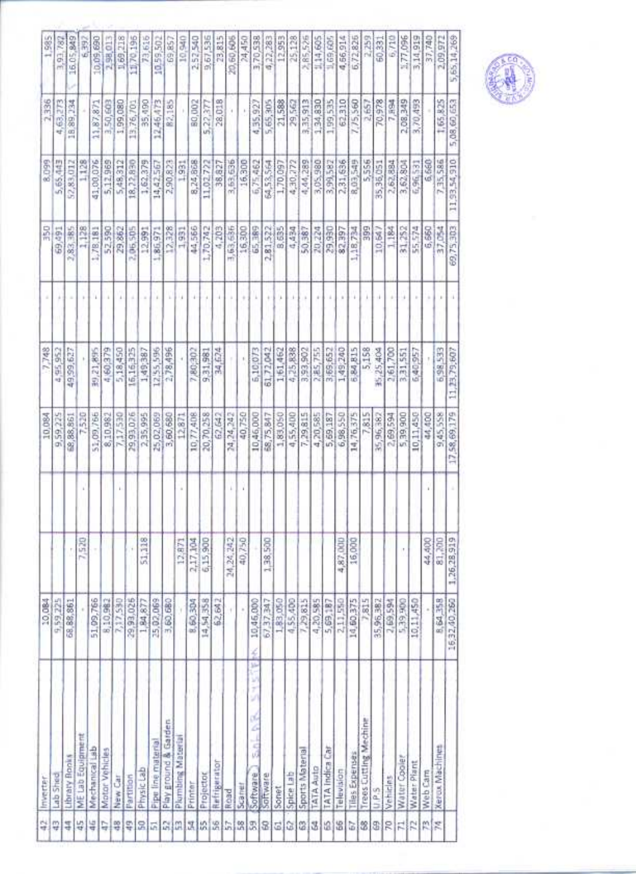| 벆              | inverter                                | 10,084          |             | 10.084       | 7,748             |    | 꾦         | 8.099        | 2,336       | 1,985       |
|----------------|-----------------------------------------|-----------------|-------------|--------------|-------------------|----|-----------|--------------|-------------|-------------|
| ₽              | Lab Shed                                | 9,59,225        |             | 9,59,225     | 4.95.952          |    | 69,491    | 5,65,443     | 63,273<br>ч | 3,93,787    |
| 4              | Library Books                           | 68,88,861       | ľ           | 68,88,861    | 49,99,627         |    | 83,385    | 52,83,012    | 18,89,234   | 16.05.849   |
| 45             | ME Lab Equipment                        |                 | 7,520       | 7,520        |                   |    | 1,128     | 1,128        |             | 6.397       |
| 46             | Mechanical Lab                          | 51,09,766       |             | 51,09,766    | 39,21,895         |    | 1,78,181  | 41,00,076    | 11,87,871   | 10,09,690   |
| 리용             | Motor Vehicles                          | 8,10,982        |             | 8,10,982     | 4,60379           |    | 52,590    | 5,12,969     | 3,50,603    | 2,98,01     |
|                | New Car                                 | 7,17,590        |             | 7,17,530     | 5,18,450          |    | 29,862    | 5,48,312     | 1,99,080    | 1,69,218    |
| ş              | Partition                               | 29,93,025       |             | 29,93,026    | 16,16,325         |    | 2,06,505  | 18, 72, 830  | 13,76,701   | 11.70,196   |
| 요 보면 없는        | Physic Lab                              | 1,84,877        | 51,118      | 2,35,995     | 1,49,387          |    | 12,991    | 1,62,379     | 35,490      | 73,616      |
|                | <b>Pipe line material</b>               | 25,02,069       |             | 25,02,069    | 12,55,596         |    | 1,86,971  | 14,42,56     | 12,46,473   | 10.59,502   |
|                | Play ground & Garden                    | 3,60,680        |             | 3,60,680     | 2,78,496          |    | 12,328    | 2,90,823     | 82,185      | 69,85       |
|                | Plumbing Material                       |                 | 12,871      | 12,871       |                   |    | 1,931     | 1,991        |             | 10.94       |
|                | Printer                                 | 8,60,304        |             | 10,77,408    | 7,80,302          | ÷  | 44,566    | 8,24,868     | 80,002      | 2.52,540    |
|                | Projector                               | 14,54,358       | 2,17,104    | 20,70,258    | 9,31,981          |    | 1,70,742  | 11,02.722    | 5,22,377    | 9,67,536    |
| 2.28           | Refrigerator                            | 62,64           |             | 62,642       | 34,624            |    | 4,203     | 38,827       | 28,018      | 23,815      |
|                | Road                                    |                 | 24,24,242   | 24,24,242    |                   |    | 3,63,636  | 3,63,636     |             | 20,60,606   |
| $\frac{8}{25}$ | Scaner                                  |                 | 40,750      | 40,750       | t.                |    | 16,300    | 16,300       | ł.          | 24,450      |
| 嚣              | z<br>i.<br>ł<br>۲<br>z<br>5<br>Software | 10,46,000       |             | 10,46,000    | 5,10,073          | ì. | 65,389    | 6,75,462     | 4,35,927    | 3,70,538    |
| 3              | Software                                | 67,37,347       | 1,38,500    | 68,75,847    | 61,72,042         |    | 2,81,522  | 35.55.35     | 5,65,305    | 4,22,283    |
| 뎨              | Sonet                                   | 1,83,050        |             | 1,89,050     | 1,61,462          |    | 8,635     | 1,70,097     | 21,588      | 12,953      |
| Q              | Spice Lab                               | 4,55,400        |             | 4,55,400     | 4,25,838          |    | 4,434     | 4,30,772     | 29,562      | 25,128      |
| 21             | Sports Material                         | 7,29,815        |             | 7,29,815     | <b>2006-65-16</b> |    | 50,387    | 4,44,289     | 3,35,913    | 2.85,526    |
| 로              | <b>TATA Auto</b>                        | 4,20,585        |             | 4,20,585     | 2,85,755          |    | 20,224    | 3,05,980     | 1,34,830    | 114,605     |
| 12             | TATA Indica Car                         | 5,69,187        |             | 5,69,187     | 3,69,652          |    | 29,930    | 3,99,582     | 1,99,535    | 1,69,60     |
| 诣              | Television                              | 2,11,550        | 4,87,000    | 6,98,550     | 1,49,240          |    | 82,397    | 2,31,636     | 62,310      | 4,56,914    |
| 히              | Tiles Expenses                          | 14,60,375       | 16,000      | 14,76,375    | 6,84,815          |    | 1,18,734  | 8,03,549     | 7,75,560    | 6,72,826    |
| S              | Trees Cutting Mechine                   | 7,815           |             | 7,815        | 5,158             |    | 58        | 5,556        | 2,657       | 2,259       |
| \$1            | U.P.S                                   | 35,96,382       |             | 35,96,382    | 35,25,404         |    | $10,64$ ) | 35,36,051    | 70,978      | 60,331      |
| R              | Vehicles                                | 2,69,594        |             | 2,69,594     | 2,61,700          |    | 1.184     | 2,62,884     | 7,894       | 6.710       |
| 려              | Water Cooler                            | <b>DOB 6E'S</b> | t           | 5,39,900     | 3,31,551          |    | 31,252    | 3,62,804     | 2,08,349    | 1.77,096    |
| R              | Water Plant                             | 10,11,450       |             | 10,11,450    | 6,40,957          |    | 55,574    | 6,96,53      | 3,70,493    | 3,14,919    |
| 開票             | Web Cam                                 |                 | 44,400      | 44,400       |                   |    | 6,660     | 6,660        |             | 37,740      |
|                | Xerox Machines                          | 8,64,358        | 81,200      | 9.45,558     | 6,98,533          |    | 37,054    | 7,35,586     | 1,65,825    | 2,09,972    |
|                |                                         | 16,32,40,260    | 1,26,28,919 | 17,58,69,179 | 11,23,79,607      |    | 69,75,303 | 11,93,54,910 | 5,08,00,653 | 5,65,14,269 |

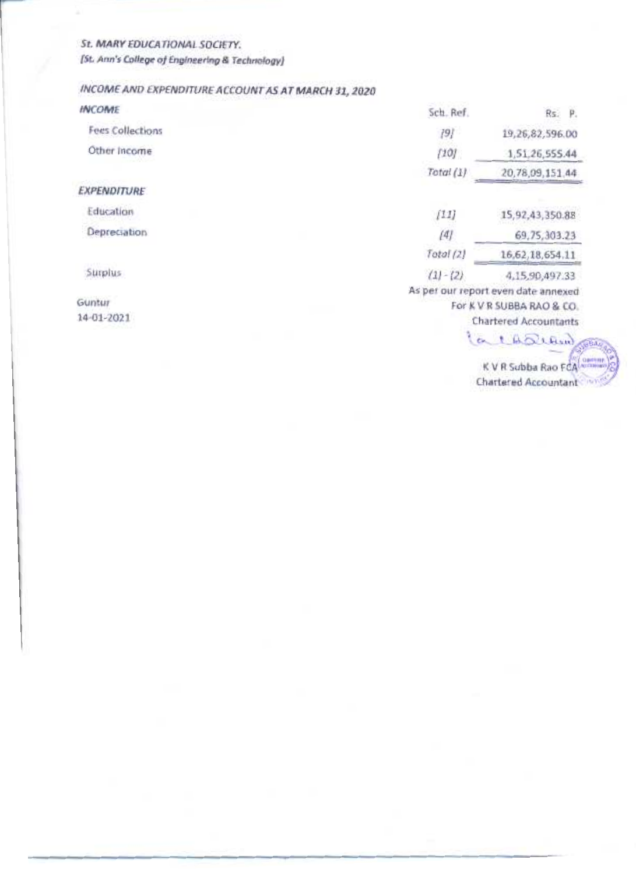St. MARY EDUCATIONAL SOCIETY. [St. Ann's College of Engineering & Technology]

# INCOME AND EXPENDITURE ACCOUNT AS AT MARCH 31, 2020

| <b>INCOME</b>           | Sch. Ref.   | Rs. P.                                                                                                                                  |
|-------------------------|-------------|-----------------------------------------------------------------------------------------------------------------------------------------|
| <b>Fees Collections</b> | $[9]$       | 19,26,82,596.00                                                                                                                         |
| Other Income            | [10]        | 1,51,26,555.44                                                                                                                          |
|                         | Total (1)   | 20,78,09,151.44                                                                                                                         |
| <b>EXPENDITURE</b>      |             |                                                                                                                                         |
| Education               | [11]        | 15,92,43,350.88                                                                                                                         |
| Depreciation            | [4]         | 69,75,303.23                                                                                                                            |
|                         | Total (2)   | 16,62,18,654.11                                                                                                                         |
| Surplus                 | $(1) - (2)$ | 4,15,90,497.33                                                                                                                          |
| Guntur<br>14-01-2021    |             | As per our report even date annexed<br>For K V R SUBBA RAO & CO.<br><b>Chartered Accountants</b><br>a 1 th allow<br>K V R Subba Rao FCA |
|                         |             | Chartered Accountant                                                                                                                    |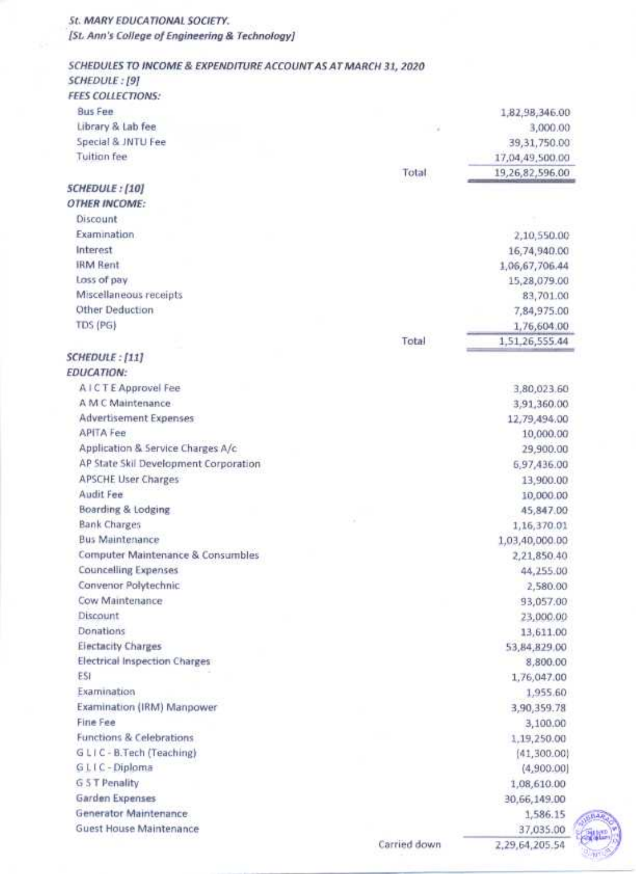#### St. MARY EDUCATIONAL SOCIETY.

[St. Ann's College of Engineering & Technology]

#### SCHEDULES TO INCOME & EXPENDITURE ACCOUNT AS AT MARCH 31, 2020 SCHEDULE: [9]

erre cour

|                                       | Carried down | 2,29,64,205.54                    |
|---------------------------------------|--------------|-----------------------------------|
| Guest House Maintenance               |              | 37,035.00                         |
| Generator Maintenance                 |              | 1,586.15                          |
| Garden Expenses                       |              | 30,66,149.00                      |
| G 5 T Penality                        |              | 1,08,610.00                       |
| G L I C - Diploma                     |              | (4,900.00)                        |
| GLIC-B.Tech (Teaching)                |              | (41,300.00)                       |
| Functions & Celebrations              |              | 1,19,250.00                       |
| Fine Fee                              |              | 3,100.00                          |
| Examination (IRM) Manpower            |              | 3,90,359.78                       |
| Examination                           |              | 1,955.60                          |
| ESI                                   |              | 1,76,047.00                       |
| <b>Electrical Inspection Charges</b>  |              | 8,800.00                          |
| <b>Electacity Charges</b>             |              | 53,84,829.00                      |
| Donations                             |              | 13,611.00                         |
| Discount                              |              | 23,000.00                         |
| Cow Maintenance                       |              | 93,057.00                         |
| Convenor Polytechnic                  |              | 2,580.00                          |
| <b>Councelling Expenses</b>           |              | 44,255.00                         |
| Computer Maintenance & Consumbles     |              | 2,21,850.40                       |
| <b>Bus Maintenance</b>                |              | 1,03,40,000.00                    |
| <b>Bank Charges</b>                   |              | 1,16,370.01                       |
| Boarding & Lodging                    |              | 45,847.00                         |
| Audit Fee                             |              | 10,000.00                         |
| <b>APSCHE User Charges</b>            |              | 13,900.00                         |
| AP State Skil Development Corporation |              | 5,97,436.00                       |
| Application & Service Charges A/c     |              | 29,900.00                         |
| <b>APITA Fee</b>                      |              | 10,000.00                         |
| Advertisement Expenses                |              | 12,79,494.00                      |
| A M C Maintenance                     |              | 3,91,360.00                       |
| A I C T E Approvel Fee                |              | 3,80,023.60                       |
| <b>EDUCATION:</b>                     |              |                                   |
| SCHEDULE: [11]                        |              |                                   |
|                                       |              | 1,51,26,555.44                    |
|                                       | Total        |                                   |
| TDS (PG)                              |              | 7,84,975.00<br>1,76,604.00        |
| Other Deduction                       |              | 83,701.00                         |
| Miscellaneous receipts                |              | 15,28,079.00                      |
| Loss of pay                           |              | 1,06,67,706.44                    |
| Interest<br><b>IRM Rent</b>           |              | 16,74,940.00                      |
|                                       |              | 2,10,550.00                       |
| Examination                           |              |                                   |
| Discount                              |              |                                   |
| <b>OTHER INCOME:</b>                  |              |                                   |
| <b>SCHEDULE: [10]</b>                 |              |                                   |
|                                       | Total        | 19,26,82,596.00                   |
| <b>Tuition fee</b>                    |              | 39, 31, 750.00<br>17,04,49,500.00 |
| Special & JNTU Fee                    | 7            |                                   |
| Library & Lab fee                     |              | 1,82,98,346.00<br>3,000.00        |
| <b>Bus Fee</b>                        |              |                                   |
| <b>FEES COLLECTIONS:</b>              |              |                                   |

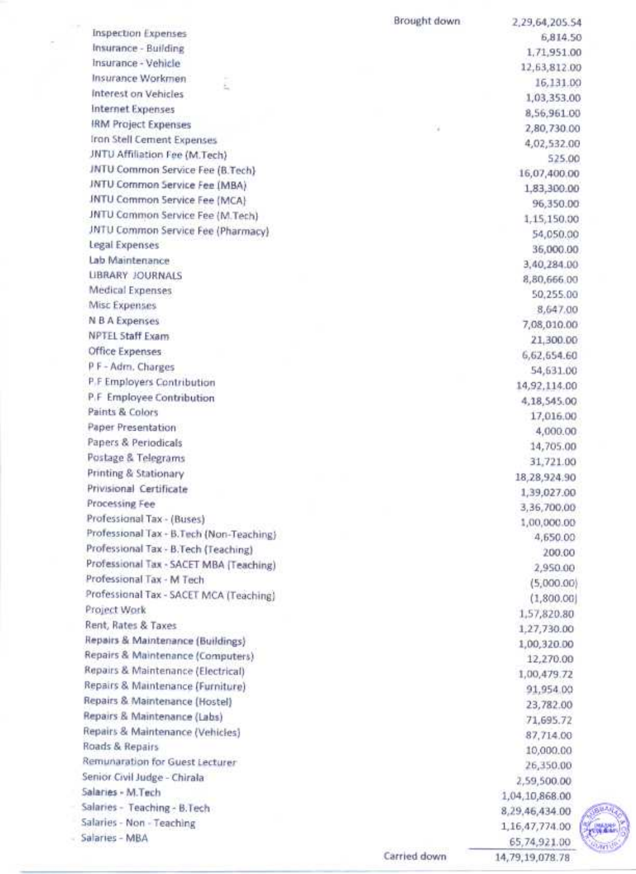|                                           | Brought down | 2,29,64,205.54           |
|-------------------------------------------|--------------|--------------------------|
| <b>Inspection Expenses</b>                |              | 6,814.50                 |
| Insurance - Building                      |              | 1,71,951.00              |
| Insurance - Vehicle                       |              | 12,63,812.00             |
| Insurance Workmen                         |              | 16,131.00                |
| Interest on Vehicles                      |              | 1,03,353.00              |
| Internet Expenses                         |              | 8,56,961.00              |
| <b>IRM Project Expenses</b>               | ×            | 2,80,730.00              |
| Iron Stell Cement Expenses                |              | 4,02,532.00              |
| JNTU Affiliation Fee (M.Tech)             |              | 525.00                   |
| JNTU Common Service Fee (B.Tech)          |              | 16,07,400.00             |
| JNTU Common Service Fee (MBA)             |              | 1,83,300.00              |
| <b>JNTU Common Service Fee (MCA)</b>      |              | 96,350.00                |
| JNTU Cammon Service Fee (M.Tech)          |              | 1,15,150.00              |
| JNTU Common Service Fee (Pharmacy)        |              | 54,050.00                |
| Legal Expenses                            |              | 36,000.00                |
| Lab Maintenance                           |              | 3,40,284.00              |
| <b>LIBRARY JOURNALS</b>                   |              | 8,80,666.00              |
| Medical Expenses                          |              | 50,255.00                |
| Misc Expenses                             |              | 8,647.00                 |
| N B A Expenses                            |              | 7,08,010.00              |
| <b>NPTEL Staff Exam</b>                   |              | 21,300.00                |
| Office Expenses                           |              | 6,62,654.60              |
| P F - Adm. Charges                        |              | 54,631.00                |
| P.F Employers Contribution                |              | 14,92,114.00             |
| P.F Employee Contribution                 |              |                          |
| Paints & Colors                           |              | 4,18,545.00<br>17,016.00 |
| Paper Presentation                        |              |                          |
| Papers & Periodicals                      |              | 4,000.00                 |
| Postage & Telegrams                       |              | 14,705.00                |
| Printing & Stationary                     |              | 31,721.00                |
| Privisional Certificate                   |              | 18, 28, 924. 90          |
| Processing Fee                            |              | 1,39,027.00              |
| Professional Tax - (Buses)                |              | 3,36,700.00              |
| Professional Tax - B. Tech (Non-Teaching) |              | 1,00,000.00              |
| Professional Tax - B.Tech (Teaching)      |              | 4,650.00                 |
| Professional Tax - SACET MBA (Teaching)   |              | 200.00                   |
| Professional Tax - M Tech                 |              | 2,950.00                 |
| Professional Tax - SACET MCA (Teaching)   |              | (5,000.00)               |
| Project Work                              |              | (1,800.00)               |
| Rent, Rates & Taxes                       |              | 1,57,820.80              |
| Repairs & Maintenance (Buildings)         |              | 1,27,730.00              |
| Repairs & Maintenance (Computers)         |              | 1,00,320.00              |
| Repairs & Maintenance (Electrical)        |              | 12,270.00                |
|                                           |              | 1,00,479.72              |
| Repairs & Maintenance (Furniture)         |              | 91,954.00                |
| Repairs & Maintenance (Hostel)            |              | 23,782.00                |
| Repairs & Maintenance (Labs)              |              | 71,695.72                |
| Repairs & Maintenance (Vehicles)          |              | 87,714.00                |
| Roads & Repairs                           |              | 10,000.00                |
| Remunaration for Guest Lecturer           |              | 26,350.00                |
| Senior Civil Judge - Chirala              |              | 2,59,500.00              |
| Salaries - M.Tech                         |              | 1,04,10,868.00           |
| Salaries - Teaching - B.Tech-             |              | 8,29,46,434.00           |
| Salaries - Non - Teaching                 |              | 1,16,47,774.00           |
| Salaries - MBA                            |              | 65,74,921.00             |

è.



Carried down

14,79,19,078.78